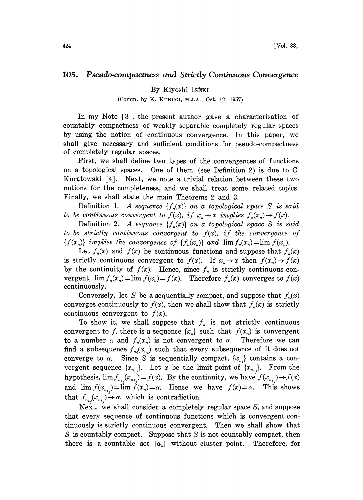## 105. Pseudo-compactness and Strictly Continuous Convergence

## By Kiyoshi IsÉKI

## (Comm. by K. KONUGI, M.J.A., Oct. 12, 1957)

In my Note  $\lceil 3 \rceil$ , the present author gave a characterisation of countably compactness of weakly separable completely regular spaces by using the notion of continuous convergence. In this paper, we shall give necessary and sufficient conditions for pseudo-compactness of completely regular spaces.

First, we shall define two types of the convergences of functions on a topological spaces. One of them (see Definition 2) is due to C. Kuratowski  $[4]$ . Next, we note a trivial relation between these two notions for the completeness, and we shall treat some related topics. Finally, we shall state the main Theorems 2 and 3.

Definition 1. A sequence  $\{f_n(x)\}\$  on a topological space S is said to be continuous convergent to  $f(x)$ , if  $x_n \to x$  implies  $f_n(x_n) \to f(x)$ .

Definition 2. A sequence  $\{f_n(x)\}\$  on a topological space S is said to be strictly continuous convergent to  $f(x)$ , if the convergence of  ${f(x_n)}$  implies the convergence of  ${f_n(x_n)}$  and  $\lim f_n(x_n)=\lim f(x_n)$ .

Let  $f_n(x)$  and  $f(x)$  be continuous functions and suppose that  $f_n(x)$ is strictly continuous convergent to  $f(x)$ . If  $x_n \to x$  then  $f(x_n) \to f(x)$ by the continuity of  $f(x)$ . Hence, since  $f_n$  is strictly continuous convergent,  $\lim f_n(x_n) = \lim f(x_n) = f(x)$ . Therefore  $f_n(x)$  converges to  $f(x)$ continuously.

Conversely, let S be a sequentially compact, and suppose that  $f_n(x)$ converges continuously to  $f(x)$ , then we shall show that  $f_n(x)$  is strictly continuous convergent to  $f(x)$ .

To show it, we shall suppose that  $f_n$  is not strictly continuous convergent to f, there is a sequence  $\{x_n\}$  such that  $f(x_n)$  is convergent to a number  $\alpha$  and  $f_n(x_n)$  is not convergent to  $\alpha$ . Therefore we can find a subsequence  $f_{n_i}(x_{n_i})$  such that every subsequence of it does not converge to  $\alpha$ . Since S is sequentially compact,  $\{x_{n_i}\}$  contains a convergent sequence  $\{x_{n_{i,j}}\}$ . Let x be the limit point of  $\{x_{n_{i,j}}\}$ . From the hypothesis,  $\lim f_{n_{i,j}}(x_{n_{i,j}})=f(x)$ . By the continuity, we have  $f(x_{n_{i,j}}) \rightarrow f(x)$ and  $\lim_{x \to a} f(x_{n_i}) = \lim_{x \to a} f(x_n) = \alpha$ . Hence we have  $f(x) = \alpha$ . This shows that  $f_{n_{i_j}}(x_{n_{i_j}}) \rightarrow \alpha$ , which is contradiction.<br>Next, we shall consider a completely

Next, we shall consider a completely regular space S, and suppose that every sequence of continuous functions which is convergent continuously is strictly continuous convergent. Then we shall show that  $S$  is countably compact. Suppose that  $S$  is not countably compact, then there is a countable set  $\{a_n\}$  without cluster point. Therefore, for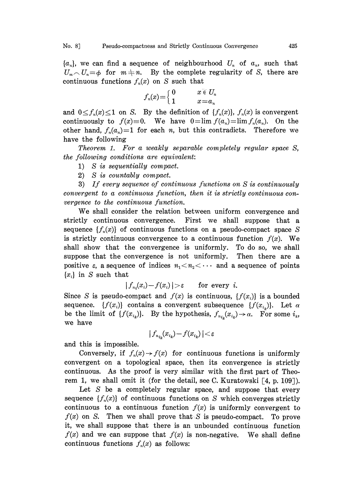$\{a_n\}$ , we can find a sequence of neighbourhood  $U_n$  of  $a_n$ , such that  $U_m \cap U_n = \phi$  for  $m \neq n$ . By the complete regularity of S, there are continuous functions  $f_n(x)$  on S such that

$$
f_n(x) = \begin{cases} 0 & x \in U_n \\ 1 & x = a_n \end{cases}
$$

and  $0 \le f_n(x) \le 1$  on S. By the definition of  $\{f_n(x)\}\,$ ,  $f_n(x)$  is convergent continuously to  $f(x)=0$ . We have  $0=\lim f(a_n)=\lim f_n(a_n)$ . On the other hand,  $f_n(a_n)=1$  for each n, but this contradicts. Therefore we have the following

Theorem 1. For a weakly separable completely regular space S, the following conditions are equivalent:

- 1) S is sequentially compact.
- 2) S is countably compact.

3) If every sequence of continuous functions on S is continuously convergent to a continuous, function, then it is strictly continuous convergence to the continuous function.

We shall consider the relation between uniform convergence and strictly continuous convergence. First we shall suppose that a sequence  $\{f_n(x)\}\$  of continuous functions on a pseudo-compact space S is strictly continuous convergence to a continuous function  $f(x)$ . We shall show that the convergence is uniformly. To do so, we shall suppose that the convergence is not uniformly. Then there are a positive  $\varepsilon$ , a sequence of indices  $n_1 < n_2 < \cdots$  and a sequence of points  ${x_i}$  in S such that

$$
|f_{n_i}(x_i)-f(x_i)|>\varepsilon \qquad \text{for every } i.
$$

Since S is pseudo-compact and  $f(x)$  is continuous,  $\{f(x_i)\}\$ is a bounded sequence.  $\{f(x_i)\}\$ contains a convergent subsequence  $\{f(x_{i_k})\}\$ . Let  $\alpha$ be the limit of  $\{f(x_{i_k})\}$ . By the hypothesis,  $f_{n_{i_k}}(x_{i_k}) \to \alpha$ . For some  $i_k$ , we have

$$
|\,f_{\mathbf{n}_{i_k}}\!(x_{i_k})\!-\!f(x_{i_k})\,| \!<\! \varepsilon
$$

and this is impossible.

Conversely, if  $f_n(x) \to f(x)$  for continuous functions is uniformly convergent on a topological space, then its convergence is strictly continuous. As the proof is very similar with the first part of Theorem 1, we shall omit it (for the detail, see C. Kuratowski  $[4, p. 109]$ ).

Let  $S$  be a completely regular space, and suppose that every sequence  $\{f_n(x)\}\$  of continuous functions on S which converges strictly continuous to a continuous function  $f(x)$  is uniformly convergent to  $f(x)$  on S. Then we shall prove that S is pseudo-compact. To prove it, we shall suppose that there is an unbounded continuous function  $f(x)$  and we can suppose that  $f(x)$  is non-negative. We shall define continuous functions  $f_n(x)$  as follows: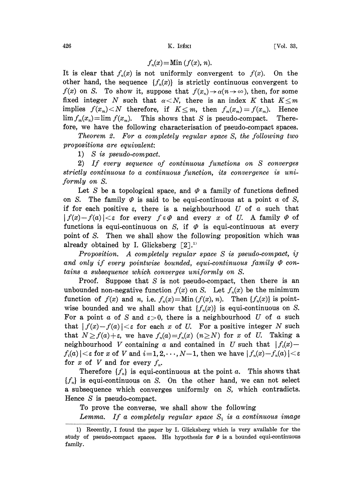$$
f_n(x) = \text{Min }(f(x), n).
$$

It is clear that  $f_n(x)$  is not uniformly convergent to  $f(x)$ . On the other hand, the sequence  $\{f_n(x)\}\$ is strictly continuous convergent to  $f(x)$  on S. To show it, suppose that  $f(x_n) \to \alpha(n \to \infty)$ , then, for some fixed integer N such that  $\alpha < N$ , there is an index K that  $K \leq m$ implies  $f(x_m) < N$  therefore, if  $K \leq m$ , then  $f_m(x_m) = f(x_m)$ . Hence  $\lim f_m(x_n) = \lim f(x_m)$ . This shows that S is pseudo-compact. Therefore, we have the following characterisation of pseudo-compact spaces.

Theorem 2. For a completely regular space S, the following two propositions are equivalent:

1) S is pseudo-compact.

2) If every sequence of continuous functions on S converges strictly continuous to a continuous function, its convergence is uniformly on S.

Let S be a topological space, and  $\varPhi$  a family of functions defined on S. The family  $\varphi$  is said to be equi-continuous at a point  $a$  of S, if for each positive  $\varepsilon$ , there is a neighbourhood U of a such that  $|f(x)-f(a)| < \varepsilon$  for every  $f \in \varPhi$  and every x of U. A family  $\varPhi$  of functions is equi-continuous on S, if  $\varPhi$  is equi-continuous at every point of S. Then we shall show the following proposition which was already obtained by I. Glicksberg  $[2]$ .<sup>11</sup>

Proposition. A completely regular space  $S$  is pseudo-compact, if and only if every pointwise bounded, equi-continuous family  $\Phi$  contains a subsequence which converges uniformly on S.

Proof. Suppose that  $S$  is not pseudo-compact, then there is an unbounded non-negative function  $f(x)$  on S. Let  $f_n(x)$  be the minimum function of  $f(x)$  and n, i.e.  $f_n(x) = Min (f(x), n)$ . Then  ${f_n(x)}$  is pointwise bounded and we shall show that  $\{f_n(x)\}\$ is equi-continuous on S. For a point a of S and  $\varepsilon > 0$ , there is a neighbourhood U of a such that  $|f(x)-f(a)| < \varepsilon$  for each x of U. For a positive integer N such that  $N \ge f(a)+\varepsilon$ , we have  $f_n(a)=f_n(x)$   $(n\ge N)$  for x of U. Taking a neighbourhood V containing a and contained in U such that  $|f_i(x) |f_i(a)| < \varepsilon$  for x of V and  $i = 1, 2, \dots, N-1$ , then we have  $|f_n(x) - f_n(a)| < \varepsilon$ for x of V and for every  $f_n$ .

Therefore  $\{f_n\}$  is equi-continuous at the point a. This shows that  ${f<sub>n</sub>}$  is equi-continuous on S. On the other hand, we can not select a subsequence which converges uniformly on S, which contradicts. Hence S is pseudo-compact.

To prove the converse, we shall show the following

Lemma. If a completely regular space  $S_1$  is a continuous image

<sup>1)</sup> Recently, <sup>I</sup> found the paper by I. Glicksberg which is very available for the study of pseudo-compact spaces. His hypothesis for  $\varnothing$  is a bounded equi-continuous family.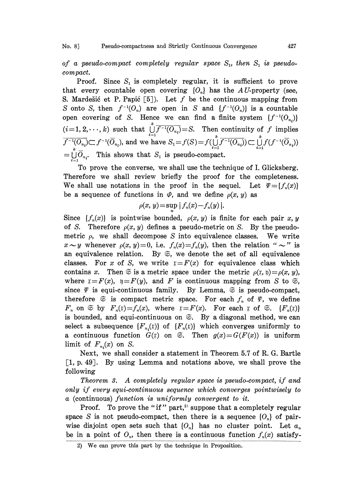No. 8] Pseudo-compactness and Strictly Continuous Convergence 427

of a pseudo-compact completely regular space  $S_1$ , then  $S_1$  is pseudocompact.

Proof. Since  $S_1$  is completely regular, it is sufficient to prove that every countable open covering  ${O_n}$  has the AU-property (see, S. Mardešić et P. Papić [5]). Let f be the continuous mapping from S onto S, then  $f^{-1}(O_n)$  are open in S and  $\{f^{-1}(O_n)\}$  is a countable open covering of S. Hence we can find a finite system  $\{f^{-1}(O_n)\}$  $(i=1, 2, \dots, k)$  such that  $\bigcup_{i=1}^{l} f^{-1}(O_{n_i}) = S$ . Then continuity of f implies  $\overline{f^{-1}(O_{n_i})} \subset f^{-1}(\overline{O}_{n_i})$ , and we have  $S_1 = f(S) = f(\bigcup_{i=1}^{k} \overline{f^{-1}(O_{n_i})}) \subset \bigcup_{i=1}^{k} f(f^{-1}(\overline{O}_{n_i}))$  $=\bigcup_{i=1}^{k} \overline{O}_{n_i}$ . This shows that  $S_1$  is pseudo-compact.

To prove the converse, we shall use the technique of I. Glicksberg. Therefore we shall review briefly the proof for the completeness. We shall use notations in the proof in the sequel. Let  $\Psi = \{f_n(x)\}$ be a sequence of functions in  $\varPhi$ , and we define  $\rho(x, y)$  as

$$
\rho(x, y) = \sup |f_n(x) - f_n(y)|.
$$

Since  $\{f_n(x)\}\$ is pointwise bounded,  $\rho(x, y)$  is finite for each pair x, y of S. Therefore  $\rho(x, y)$  defines a pseudo-metric on S. By the pseudometric  $\rho$ , we shall decompose S into equivalence classes. We write  $x \sim y$  whenever  $\rho(x, y) = 0$ , i.e.  $f_n(x) = f_n(y)$ , then the relation "  $\sim$ " is<br>an equivalence relation. By  $\Im$ , we denote the set of all equivalence an equivalence relation. By  $\mathfrak{S}$ , we denote the set of all equivalence classes. For x of S, we write  $x = F(x)$  for equivalence class which contains x. Then  $\Im$  is a metric space under the metric  $\rho(x, \theta) = \rho(x, y)$ , where  $x = F(x)$ ,  $y = F(y)$ , and F is continuous mapping from S to  $\mathfrak{S}$ , since  $\varPsi$  is equi-continuous family. By Lemma,  $\Im$  is pseudo-compact, therefore  $\mathfrak{S}$  is compact metric space. For each  $f_n$  of  $\varPsi$ , we define  $F_n$  on  $\mathfrak{S}$  by  $F_n(x)=f_n(x)$ , where  $x=F(x)$ . For each  $x$  of  $\mathfrak{S}$ .  $\{F_n(x)\}$ . is bounded, and equi-continuous on  $\mathfrak{S}$ . By a diagonal method, we can select a subsequence  $\{F_{n}(x)\}\$  of  $\{F_{n}(x)\}\$  which converges uniformly to a continuous function  $\tilde{G}(x)$  on  $\tilde{\infty}$ . Then  $g(x)=G(F(x))$  is uniform limit of  $F_{n_i}(x)$  on S.

Next, we shall consider a statement in Theorem 5.7 of R. G. Bartle  $[1, p. 49]$ . By using Lemma and notations above, we shall prove the following

Theorem 3. A completely regular space is pseudo-compact, if and only if every equi-continuous sequence which converges pointwisely to a (continuous) function is uniformly convergent to it.

Proof. To prove the "if" part,<sup>2)</sup> suppose that a completely regular space S is not pseudo-compact, then there is a sequence  $\{O_n\}$  of pairwise disjoint open sets such that  ${O_n}$  has no cluster point. Let  $a_n$ be in a point of  $O_n$ , then there is a continuous function  $f_n(x)$  satisfy-

<sup>2)</sup> We can prove this part by the technique in Proposition.